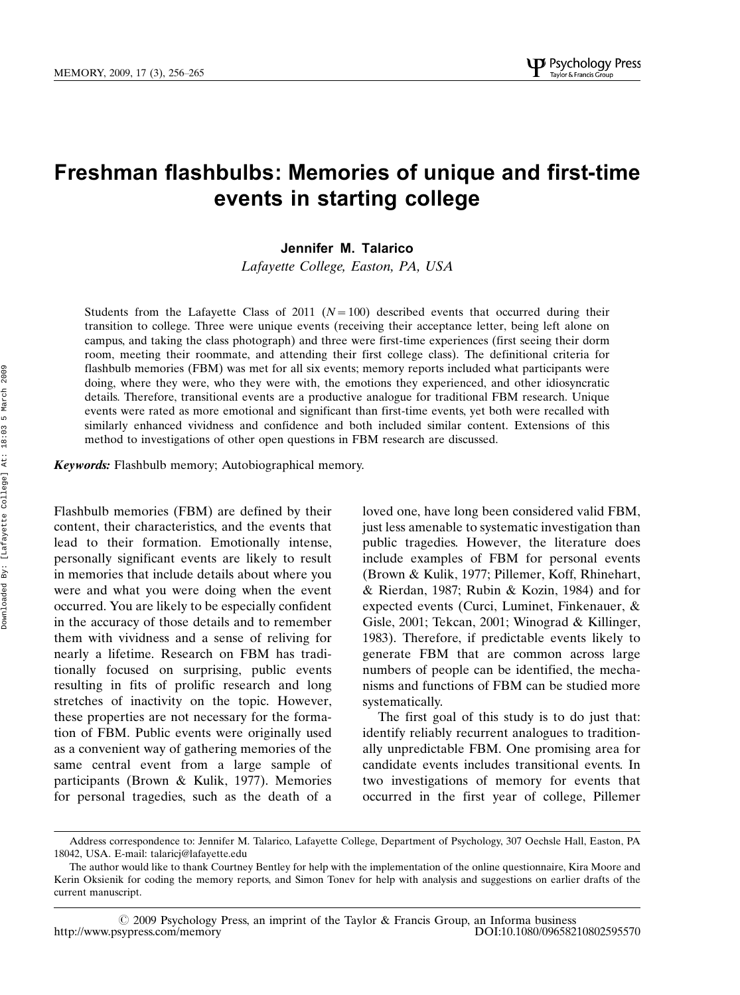# Freshman flashbulbs: Memories of unique and first-time events in starting college

# Jennifer M. Talarico

Lafayette College, Easton, PA, USA

Students from the Lafayette Class of 2011 ( $N=100$ ) described events that occurred during their transition to college. Three were unique events (receiving their acceptance letter, being left alone on campus, and taking the class photograph) and three were first-time experiences (first seeing their dorm room, meeting their roommate, and attending their first college class). The definitional criteria for flashbulb memories (FBM) was met for all six events; memory reports included what participants were doing, where they were, who they were with, the emotions they experienced, and other idiosyncratic details. Therefore, transitional events are a productive analogue for traditional FBM research. Unique events were rated as more emotional and significant than first-time events, yet both were recalled with similarly enhanced vividness and confidence and both included similar content. Extensions of this method to investigations of other open questions in FBM research are discussed.

**Keywords:** Flashbulb memory; Autobiographical memory.

Flashbulb memories (FBM) are defined by their content, their characteristics, and the events that lead to their formation. Emotionally intense, personally significant events are likely to result in memories that include details about where you were and what you were doing when the event occurred. You are likely to be especially confident in the accuracy of those details and to remember them with vividness and a sense of reliving for nearly a lifetime. Research on FBM has traditionally focused on surprising, public events resulting in fits of prolific research and long stretches of inactivity on the topic. However, these properties are not necessary for the formation of FBM. Public events were originally used as a convenient way of gathering memories of the same central event from a large sample of participants (Brown & Kulik, 1977). Memories for personal tragedies, such as the death of a

loved one, have long been considered valid FBM, just less amenable to systematic investigation than public tragedies. However, the literature does include examples of FBM for personal events (Brown & Kulik, 1977; Pillemer, Koff, Rhinehart, & Rierdan, 1987; Rubin & Kozin, 1984) and for expected events (Curci, Luminet, Finkenauer, & Gisle, 2001; Tekcan, 2001; Winograd & Killinger, 1983). Therefore, if predictable events likely to generate FBM that are common across large numbers of people can be identified, the mechanisms and functions of FBM can be studied more systematically.

The first goal of this study is to do just that: identify reliably recurrent analogues to traditionally unpredictable FBM. One promising area for candidate events includes transitional events. In two investigations of memory for events that occurred in the first year of college, Pillemer

Address correspondence to: Jennifer M. Talarico, Lafayette College, Department of Psychology, 307 Oechsle Hall, Easton, PA 18042, USA. E-mail: talaricj@lafayette.edu

The author would like to thank Courtney Bentley for help with the implementation of the online questionnaire, Kira Moore and Kerin Oksienik for coding the memory reports, and Simon Tonev for help with analysis and suggestions on earlier drafts of the current manuscript.

 $\degree$  2009 Psychology Press, an imprint of the Taylor & Francis Group, an Informa business sypress.com/memory DOI:10.1080/09658210802595570 http://www.psypress.com/memory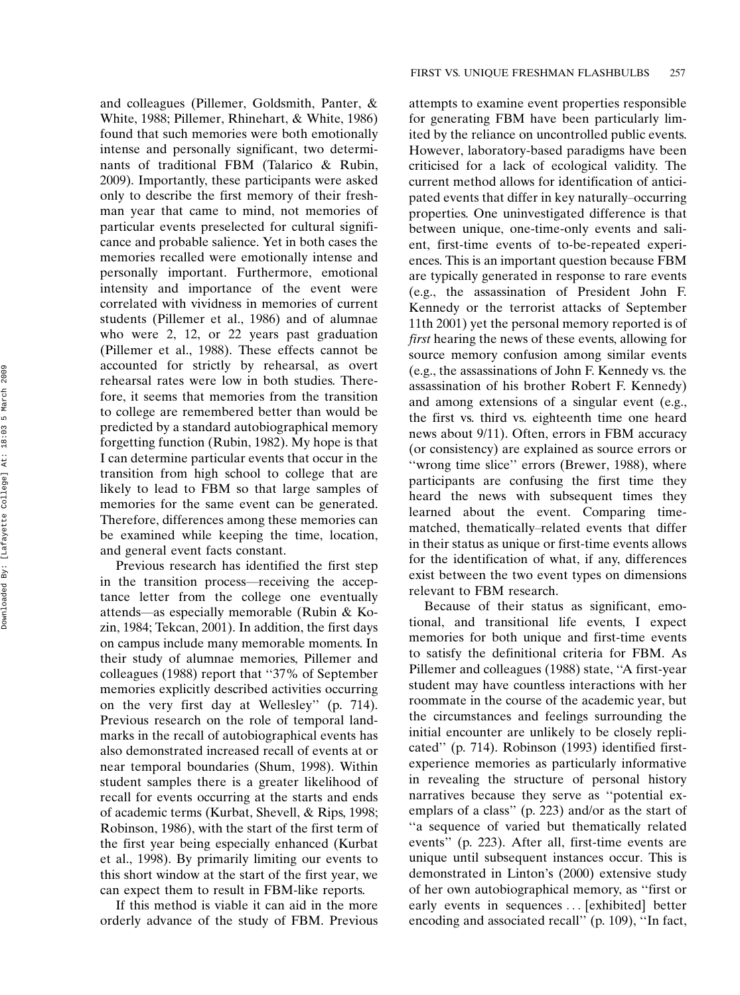and colleagues (Pillemer, Goldsmith, Panter, & White, 1988; Pillemer, Rhinehart, & White, 1986) found that such memories were both emotionally intense and personally significant, two determinants of traditional FBM (Talarico & Rubin, 2009). Importantly, these participants were asked only to describe the first memory of their freshman year that came to mind, not memories of particular events preselected for cultural significance and probable salience. Yet in both cases the memories recalled were emotionally intense and personally important. Furthermore, emotional intensity and importance of the event were correlated with vividness in memories of current students (Pillemer et al., 1986) and of alumnae who were 2, 12, or 22 years past graduation (Pillemer et al., 1988). These effects cannot be accounted for strictly by rehearsal, as overt rehearsal rates were low in both studies. Therefore, it seems that memories from the transition to college are remembered better than would be predicted by a standard autobiographical memory forgetting function (Rubin, 1982). My hope is that I can determine particular events that occur in the transition from high school to college that are likely to lead to FBM so that large samples of memories for the same event can be generated. Therefore, differences among these memories can be examined while keeping the time, location, and general event facts constant.

Previous research has identified the first step in the transition process—receiving the acceptance letter from the college one eventually attends—as especially memorable (Rubin  $&$  Kozin, 1984; Tekcan, 2001). In addition, the first days on campus include many memorable moments. In their study of alumnae memories, Pillemer and colleagues (1988) report that ''37% of September memories explicitly described activities occurring on the very first day at Wellesley'' (p. 714). Previous research on the role of temporal landmarks in the recall of autobiographical events has also demonstrated increased recall of events at or near temporal boundaries (Shum, 1998). Within student samples there is a greater likelihood of recall for events occurring at the starts and ends of academic terms (Kurbat, Shevell, & Rips, 1998; Robinson, 1986), with the start of the first term of the first year being especially enhanced (Kurbat et al., 1998). By primarily limiting our events to this short window at the start of the first year, we can expect them to result in FBM-like reports.

If this method is viable it can aid in the more orderly advance of the study of FBM. Previous

attempts to examine event properties responsible for generating FBM have been particularly limited by the reliance on uncontrolled public events. However, laboratory-based paradigms have been criticised for a lack of ecological validity. The current method allows for identification of anticipated events that differ in key naturally-occurring properties. One uninvestigated difference is that between unique, one-time-only events and salient, first-time events of to-be-repeated experiences. This is an important question because FBM are typically generated in response to rare events (e.g., the assassination of President John F. Kennedy or the terrorist attacks of September 11th 2001) yet the personal memory reported is of first hearing the news of these events, allowing for source memory confusion among similar events (e.g., the assassinations of John F. Kennedy vs. the assassination of his brother Robert F. Kennedy) and among extensions of a singular event (e.g., the first vs. third vs. eighteenth time one heard news about 9/11). Often, errors in FBM accuracy (or consistency) are explained as source errors or ''wrong time slice'' errors (Brewer, 1988), where participants are confusing the first time they heard the news with subsequent times they learned about the event. Comparing timematched, thematically-related events that differ in their status as unique or first-time events allows for the identification of what, if any, differences exist between the two event types on dimensions relevant to FBM research.

Because of their status as significant, emotional, and transitional life events, I expect memories for both unique and first-time events to satisfy the definitional criteria for FBM. As Pillemer and colleagues (1988) state, ''A first-year student may have countless interactions with her roommate in the course of the academic year, but the circumstances and feelings surrounding the initial encounter are unlikely to be closely replicated'' (p. 714). Robinson (1993) identified firstexperience memories as particularly informative in revealing the structure of personal history narratives because they serve as ''potential exemplars of a class'' (p. 223) and/or as the start of ''a sequence of varied but thematically related events'' (p. 223). After all, first-time events are unique until subsequent instances occur. This is demonstrated in Linton's (2000) extensive study of her own autobiographical memory, as ''first or early events in sequences ... [exhibited] better encoding and associated recall'' (p. 109), ''In fact,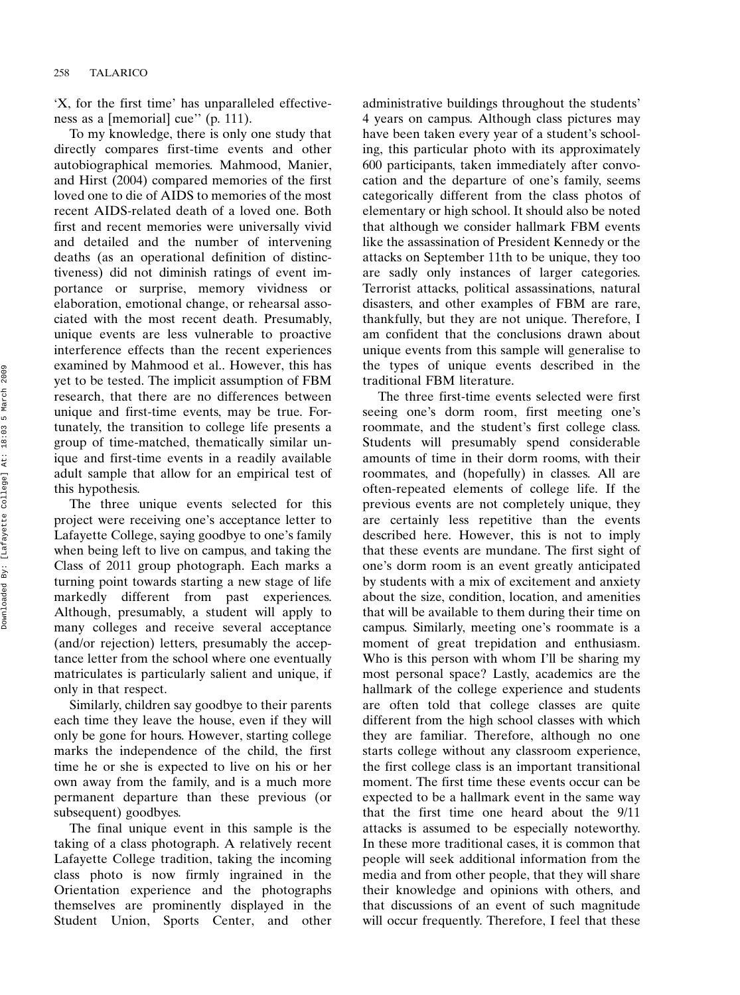'X, for the first time' has unparalleled effectiveness as a [memorial] cue'' (p. 111).

To my knowledge, there is only one study that directly compares first-time events and other autobiographical memories. Mahmood, Manier, and Hirst (2004) compared memories of the first loved one to die of AIDS to memories of the most recent AIDS-related death of a loved one. Both first and recent memories were universally vivid and detailed and the number of intervening deaths (as an operational definition of distinctiveness) did not diminish ratings of event importance or surprise, memory vividness or elaboration, emotional change, or rehearsal associated with the most recent death. Presumably, unique events are less vulnerable to proactive interference effects than the recent experiences examined by Mahmood et al.. However, this has yet to be tested. The implicit assumption of FBM research, that there are no differences between unique and first-time events, may be true. Fortunately, the transition to college life presents a group of time-matched, thematically similar unique and first-time events in a readily available adult sample that allow for an empirical test of this hypothesis.

The three unique events selected for this project were receiving one's acceptance letter to Lafayette College, saying goodbye to one's family when being left to live on campus, and taking the Class of 2011 group photograph. Each marks a turning point towards starting a new stage of life markedly different from past experiences. Although, presumably, a student will apply to many colleges and receive several acceptance (and/or rejection) letters, presumably the acceptance letter from the school where one eventually matriculates is particularly salient and unique, if only in that respect.

Similarly, children say goodbye to their parents each time they leave the house, even if they will only be gone for hours. However, starting college marks the independence of the child, the first time he or she is expected to live on his or her own away from the family, and is a much more permanent departure than these previous (or subsequent) goodbyes.

The final unique event in this sample is the taking of a class photograph. A relatively recent Lafayette College tradition, taking the incoming class photo is now firmly ingrained in the Orientation experience and the photographs themselves are prominently displayed in the Student Union, Sports Center, and other

administrative buildings throughout the students' 4 years on campus. Although class pictures may have been taken every year of a student's schooling, this particular photo with its approximately 600 participants, taken immediately after convocation and the departure of one's family, seems categorically different from the class photos of elementary or high school. It should also be noted that although we consider hallmark FBM events like the assassination of President Kennedy or the attacks on September 11th to be unique, they too are sadly only instances of larger categories. Terrorist attacks, political assassinations, natural disasters, and other examples of FBM are rare, thankfully, but they are not unique. Therefore, I am confident that the conclusions drawn about unique events from this sample will generalise to the types of unique events described in the traditional FBM literature.

The three first-time events selected were first seeing one's dorm room, first meeting one's roommate, and the student's first college class. Students will presumably spend considerable amounts of time in their dorm rooms, with their roommates, and (hopefully) in classes. All are often-repeated elements of college life. If the previous events are not completely unique, they are certainly less repetitive than the events described here. However, this is not to imply that these events are mundane. The first sight of one's dorm room is an event greatly anticipated by students with a mix of excitement and anxiety about the size, condition, location, and amenities that will be available to them during their time on campus. Similarly, meeting one's roommate is a moment of great trepidation and enthusiasm. Who is this person with whom I'll be sharing my most personal space? Lastly, academics are the hallmark of the college experience and students are often told that college classes are quite different from the high school classes with which they are familiar. Therefore, although no one starts college without any classroom experience, the first college class is an important transitional moment. The first time these events occur can be expected to be a hallmark event in the same way that the first time one heard about the 9/11 attacks is assumed to be especially noteworthy. In these more traditional cases, it is common that people will seek additional information from the media and from other people, that they will share their knowledge and opinions with others, and that discussions of an event of such magnitude will occur frequently. Therefore, I feel that these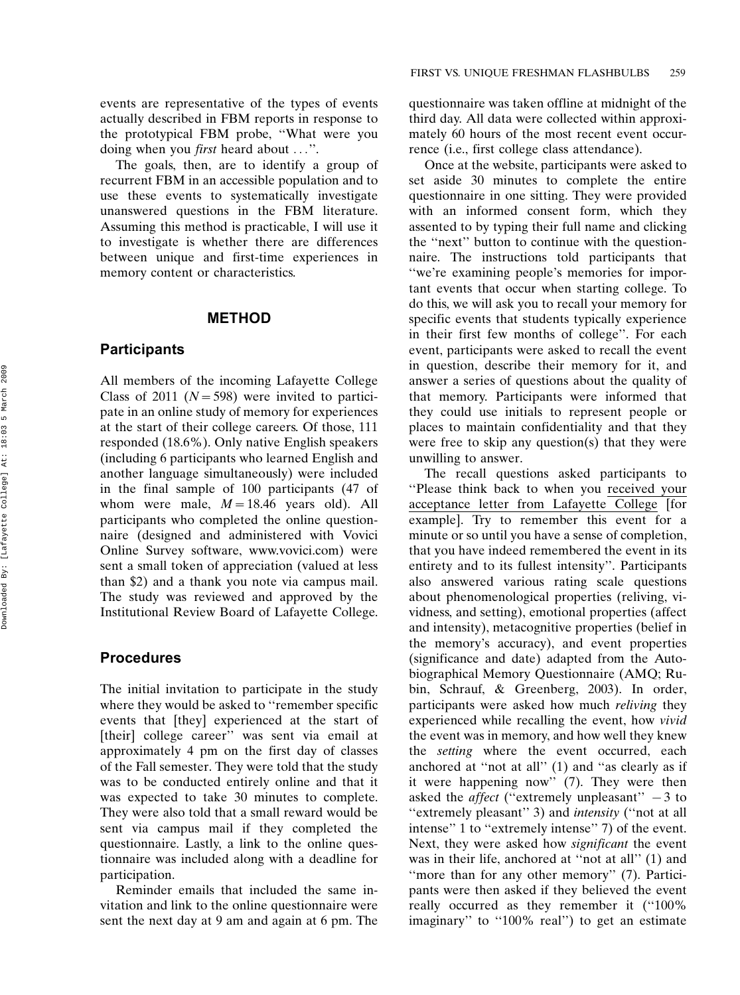events are representative of the types of events actually described in FBM reports in response to the prototypical FBM probe, ''What were you doing when you first heard about ...''.

The goals, then, are to identify a group of recurrent FBM in an accessible population and to use these events to systematically investigate unanswered questions in the FBM literature. Assuming this method is practicable, I will use it to investigate is whether there are differences between unique and first-time experiences in memory content or characteristics.

#### METHOD

#### **Participants**

All members of the incoming Lafayette College Class of 2011 ( $N=598$ ) were invited to participate in an online study of memory for experiences at the start of their college careers. Of those, 111 responded (18.6%). Only native English speakers (including 6 participants who learned English and another language simultaneously) were included in the final sample of 100 participants (47 of whom were male,  $M=18.46$  years old). All participants who completed the online questionnaire (designed and administered with Vovici Online Survey software, www.vovici.com) were sent a small token of appreciation (valued at less than \$2) and a thank you note via campus mail. The study was reviewed and approved by the Institutional Review Board of Lafayette College.

## Procedures

The initial invitation to participate in the study where they would be asked to ''remember specific events that [they] experienced at the start of [their] college career'' was sent via email at approximately 4 pm on the first day of classes of the Fall semester. They were told that the study was to be conducted entirely online and that it was expected to take 30 minutes to complete. They were also told that a small reward would be sent via campus mail if they completed the questionnaire. Lastly, a link to the online questionnaire was included along with a deadline for participation.

Reminder emails that included the same invitation and link to the online questionnaire were sent the next day at 9 am and again at 6 pm. The questionnaire was taken offline at midnight of the third day. All data were collected within approximately 60 hours of the most recent event occurrence (i.e., first college class attendance).

Once at the website, participants were asked to set aside 30 minutes to complete the entire questionnaire in one sitting. They were provided with an informed consent form, which they assented to by typing their full name and clicking the ''next'' button to continue with the questionnaire. The instructions told participants that ''we're examining people's memories for important events that occur when starting college. To do this, we will ask you to recall your memory for specific events that students typically experience in their first few months of college''. For each event, participants were asked to recall the event in question, describe their memory for it, and answer a series of questions about the quality of that memory. Participants were informed that they could use initials to represent people or places to maintain confidentiality and that they were free to skip any question(s) that they were unwilling to answer.

The recall questions asked participants to ''Please think back to when you received your acceptance letter from Lafayette College [for example]. Try to remember this event for a minute or so until you have a sense of completion, that you have indeed remembered the event in its entirety and to its fullest intensity''. Participants also answered various rating scale questions about phenomenological properties (reliving, vividness, and setting), emotional properties (affect and intensity), metacognitive properties (belief in the memory's accuracy), and event properties (significance and date) adapted from the Autobiographical Memory Questionnaire (AMQ; Rubin, Schrauf, & Greenberg, 2003). In order, participants were asked how much reliving they experienced while recalling the event, how vivid the event was in memory, and how well they knew the setting where the event occurred, each anchored at ''not at all'' (1) and ''as clearly as if it were happening now'' (7). They were then asked the *affect* ("extremely unpleasant"  $-3$  to "extremely pleasant" 3) and *intensity* ("not at all intense'' 1 to ''extremely intense'' 7) of the event. Next, they were asked how significant the event was in their life, anchored at "not at all" (1) and "more than for any other memory" (7). Participants were then asked if they believed the event really occurred as they remember it (''100% imaginary" to "100% real") to get an estimate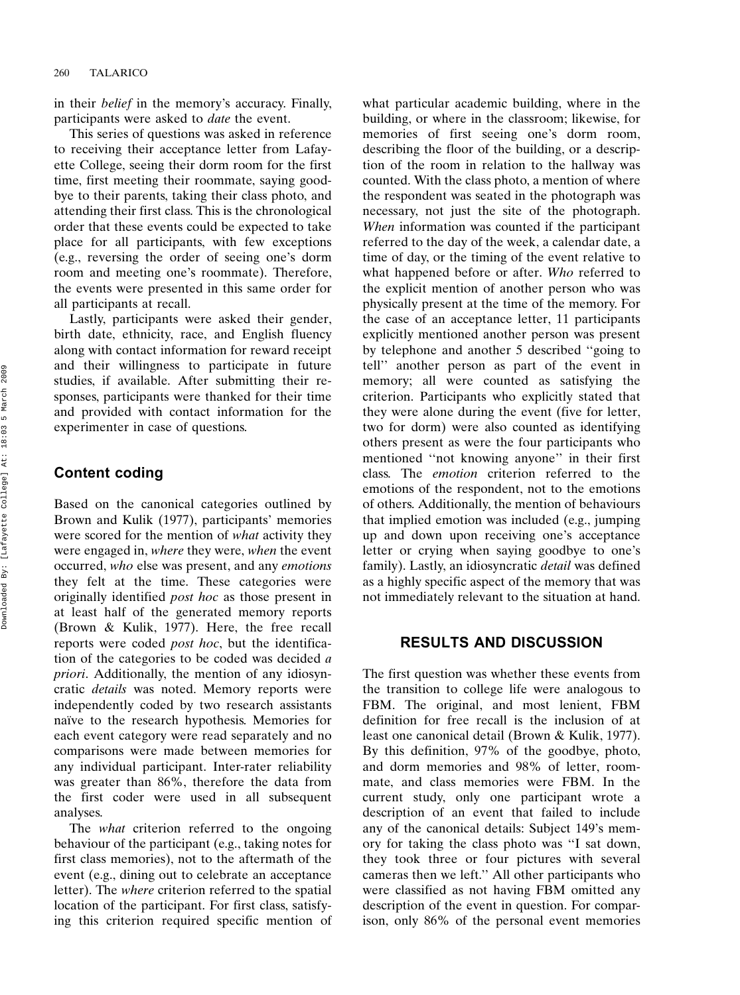in their belief in the memory's accuracy. Finally, participants were asked to *date* the event.

This series of questions was asked in reference to receiving their acceptance letter from Lafayette College, seeing their dorm room for the first time, first meeting their roommate, saying goodbye to their parents, taking their class photo, and attending their first class. This is the chronological order that these events could be expected to take place for all participants, with few exceptions (e.g., reversing the order of seeing one's dorm room and meeting one's roommate). Therefore, the events were presented in this same order for all participants at recall.

Lastly, participants were asked their gender, birth date, ethnicity, race, and English fluency along with contact information for reward receipt and their willingness to participate in future studies, if available. After submitting their responses, participants were thanked for their time and provided with contact information for the experimenter in case of questions.

### Content coding

Based on the canonical categories outlined by Brown and Kulik (1977), participants' memories were scored for the mention of what activity they were engaged in, where they were, when the event occurred, who else was present, and any emotions they felt at the time. These categories were originally identified post hoc as those present in at least half of the generated memory reports (Brown & Kulik, 1977). Here, the free recall reports were coded post hoc, but the identification of the categories to be coded was decided  $a$ priori. Additionally, the mention of any idiosyncratic details was noted. Memory reports were independently coded by two research assistants naïve to the research hypothesis. Memories for each event category were read separately and no comparisons were made between memories for any individual participant. Inter-rater reliability was greater than 86%, therefore the data from the first coder were used in all subsequent analyses.

The *what* criterion referred to the ongoing behaviour of the participant (e.g., taking notes for first class memories), not to the aftermath of the event (e.g., dining out to celebrate an acceptance letter). The where criterion referred to the spatial location of the participant. For first class, satisfying this criterion required specific mention of what particular academic building, where in the building, or where in the classroom; likewise, for memories of first seeing one's dorm room, describing the floor of the building, or a description of the room in relation to the hallway was counted. With the class photo, a mention of where the respondent was seated in the photograph was necessary, not just the site of the photograph. When information was counted if the participant referred to the day of the week, a calendar date, a time of day, or the timing of the event relative to what happened before or after. Who referred to the explicit mention of another person who was physically present at the time of the memory. For the case of an acceptance letter, 11 participants explicitly mentioned another person was present by telephone and another 5 described ''going to tell'' another person as part of the event in memory; all were counted as satisfying the criterion. Participants who explicitly stated that they were alone during the event (five for letter, two for dorm) were also counted as identifying others present as were the four participants who mentioned ''not knowing anyone'' in their first class. The emotion criterion referred to the emotions of the respondent, not to the emotions of others. Additionally, the mention of behaviours that implied emotion was included (e.g., jumping up and down upon receiving one's acceptance letter or crying when saying goodbye to one's family). Lastly, an idiosyncratic *detail* was defined as a highly specific aspect of the memory that was not immediately relevant to the situation at hand.

# **RESULTS AND DISCUSSION**

The first question was whether these events from the transition to college life were analogous to FBM. The original, and most lenient, FBM definition for free recall is the inclusion of at least one canonical detail (Brown & Kulik, 1977). By this definition, 97% of the goodbye, photo, and dorm memories and 98% of letter, roommate, and class memories were FBM. In the current study, only one participant wrote a description of an event that failed to include any of the canonical details: Subject 149's memory for taking the class photo was ''I sat down, they took three or four pictures with several cameras then we left.'' All other participants who were classified as not having FBM omitted any description of the event in question. For comparison, only 86% of the personal event memories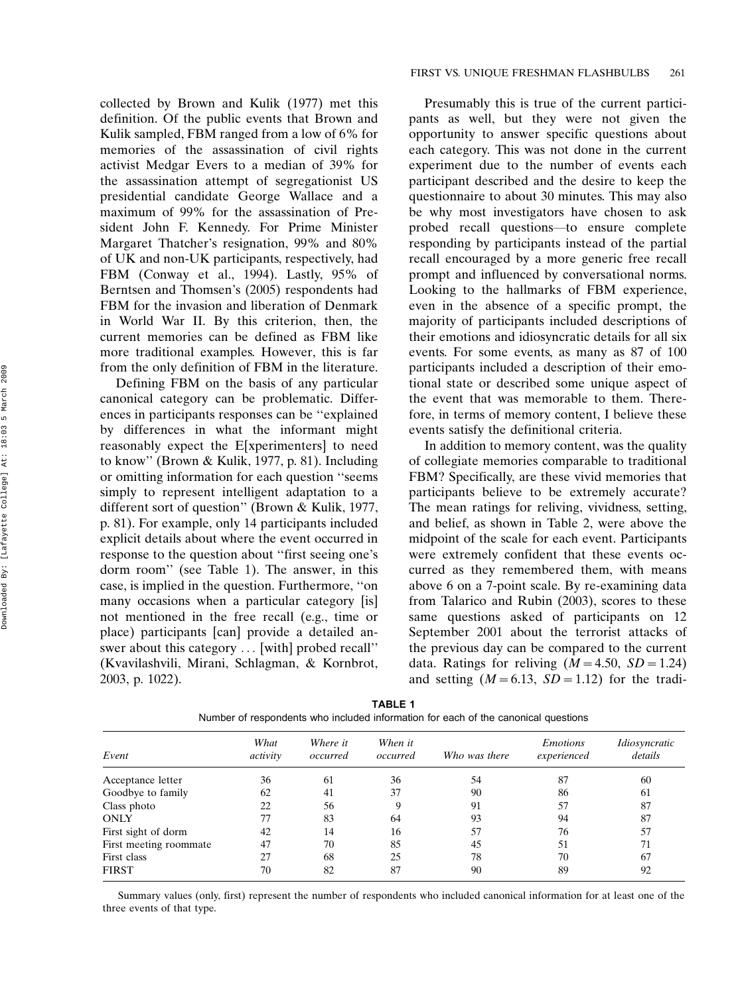collected by Brown and Kulik (1977) met this definition. Of the public events that Brown and Kulik sampled, FBM ranged from a low of 6% for memories of the assassination of civil rights activist Medgar Evers to a median of 39% for the assassination attempt of segregationist US presidential candidate George Wallace and a maximum of 99% for the assassination of President John F. Kennedy. For Prime Minister Margaret Thatcher's resignation, 99% and 80% of UK and non-UK participants, respectively, had FBM (Conway et al., 1994). Lastly, 95% of Berntsen and Thomsen's (2005) respondents had FBM for the invasion and liberation of Denmark in World War II. By this criterion, then, the current memories can be defined as FBM like more traditional examples. However, this is far from the only definition of FBM in the literature.

Defining FBM on the basis of any particular canonical category can be problematic. Differences in participants responses can be ''explained by differences in what the informant might reasonably expect the E[xperimenters] to need to know'' (Brown & Kulik, 1977, p. 81). Including or omitting information for each question ''seems simply to represent intelligent adaptation to a different sort of question'' (Brown & Kulik, 1977, p. 81). For example, only 14 participants included explicit details about where the event occurred in response to the question about ''first seeing one's dorm room'' (see Table 1). The answer, in this case, is implied in the question. Furthermore, ''on many occasions when a particular category [is] not mentioned in the free recall (e.g., time or place) participants [can] provide a detailed answer about this category ... [with] probed recall'' (Kvavilashvili, Mirani, Schlagman, & Kornbrot, 2003, p. 1022).

Presumably this is true of the current participants as well, but they were not given the opportunity to answer specific questions about each category. This was not done in the current experiment due to the number of events each participant described and the desire to keep the questionnaire to about 30 minutes. This may also be why most investigators have chosen to ask probed recall questions—to ensure complete responding by participants instead of the partial recall encouraged by a more generic free recall prompt and influenced by conversational norms. Looking to the hallmarks of FBM experience, even in the absence of a specific prompt, the majority of participants included descriptions of their emotions and idiosyncratic details for all six events. For some events, as many as 87 of 100 participants included a description of their emotional state or described some unique aspect of the event that was memorable to them. Therefore, in terms of memory content, I believe these events satisfy the definitional criteria.

In addition to memory content, was the quality of collegiate memories comparable to traditional FBM? Specifically, are these vivid memories that participants believe to be extremely accurate? The mean ratings for reliving, vividness, setting, and belief, as shown in Table 2, were above the midpoint of the scale for each event. Participants were extremely confident that these events occurred as they remembered them, with means above 6 on a 7-point scale. By re-examining data from Talarico and Rubin (2003), scores to these same questions asked of participants on 12 September 2001 about the terrorist attacks of the previous day can be compared to the current data. Ratings for reliving  $(M=4.50, SD=1.24)$ and setting  $(M=6.13, SD=1.12)$  for the tradi-

| Event                  | What<br>activity | Where it<br>occurred | When it<br>occurred | Who was there | <i>Emotions</i><br>experienced | <i>Idiosyncratic</i><br>details |
|------------------------|------------------|----------------------|---------------------|---------------|--------------------------------|---------------------------------|
| Acceptance letter      | 36               | 61                   | 36                  | 54            | 87                             | 60                              |
| Goodbye to family      | 62               | 41                   | 37                  | 90            | 86                             | 61                              |
| Class photo            | 22               | 56                   | 9                   | 91            | 57                             | 87                              |
| ONLY                   | 77               | 83                   | 64                  | 93            | 94                             | 87                              |
| First sight of dorm    | 42               | 14                   | 16                  | 57            | 76                             | 57                              |
| First meeting roommate | 47               | 70                   | 85                  | 45            | 51                             | 71                              |
| First class            | 27               | 68                   | 25                  | 78            | 70                             | 67                              |
| FIRST                  | 70               | 82                   | 87                  | 90            | 89                             | 92                              |

TABLE 1 Number of respondents who included information for each of the canonical questions

Summary values (only, first) represent the number of respondents who included canonical information for at least one of the three events of that type.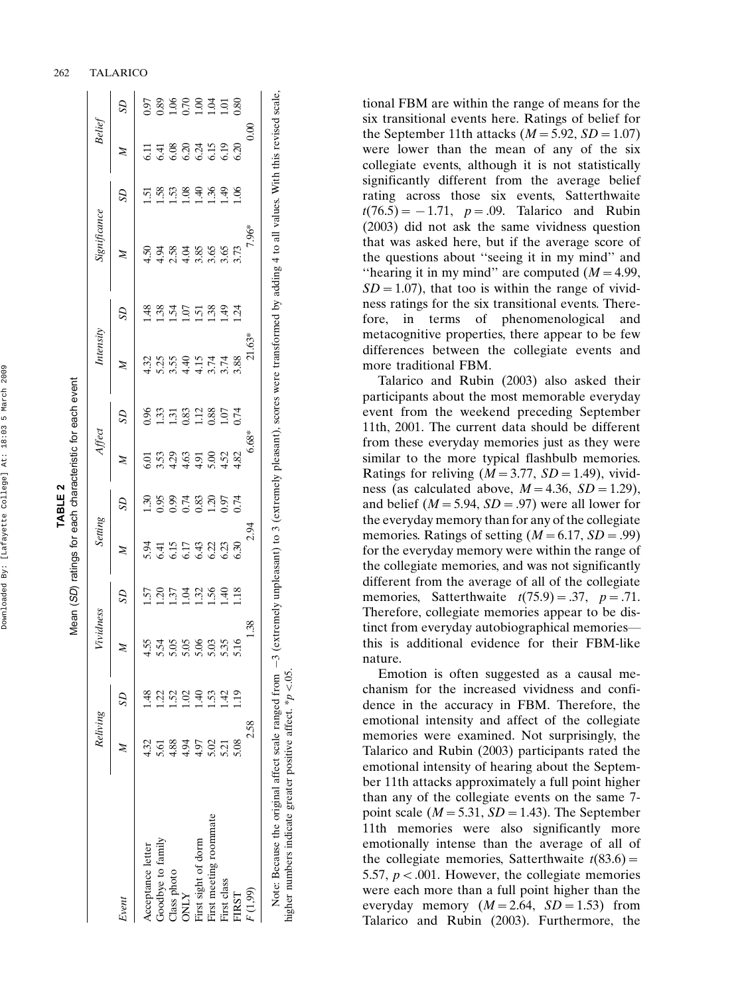|                        |              |                 | Mean (SD) ratings for each characteristic for each event |                 |                      |                    |              |         |                                                |               |              |                |                                  |                        |
|------------------------|--------------|-----------------|----------------------------------------------------------|-----------------|----------------------|--------------------|--------------|---------|------------------------------------------------|---------------|--------------|----------------|----------------------------------|------------------------|
|                        | Reliving     |                 | Vividness                                                |                 | Setting              |                    | Affect       |         | Intensity                                      |               | Significance |                | Belief                           |                        |
| Event                  |              | SD <sub>1</sub> | $\geq$                                                   | $\mathcal{L}$   | z                    | $\overline{c}$     | $\mathbb{Z}$ | $^{5D}$ | z                                              | $\mathcal{L}$ | $\geq$       | $\overline{S}$ | Z                                | $\overline{c}$         |
| Acceptance letter      | 4.32         |                 | 4.55                                                     | 1.57            |                      | $\overline{0}$     | 5.0          | 0.96    | 4.32                                           | Ҿ             | 4.50         | ë              | Ë                                | 0.97                   |
| Goodbye to family      | $\ddot{9}$   | S.              | 5.54                                                     | $\overline{20}$ | 5.455433<br>5.455433 | 0.95               | 3.53         | 1.33    |                                                | .38           | 4.94         | .58            |                                  |                        |
| Class photo            | 4.88         | 1.52            |                                                          | 1.37            |                      |                    | 4.29         | 1.31    |                                                | 1.54          |              | 1.53           |                                  |                        |
| <b>ATNO</b>            |              | ଟ୍ର             | 5.05                                                     | 1.04            |                      | $0.74$<br>0.83     | 4.51         | 0.83    | $5.55$<br>$5.54$<br>$5.54$<br>$5.54$<br>$5.54$ | 1.07          |              | 1.08           | 43<br>6.8 3 3 4 5 9<br>6.8 6 5 9 | 8<br>0.3<br>0.7<br>0.1 |
| First sight of dorm    | 4.97<br>4.97 | $\overline{40}$ |                                                          | 1.32            |                      |                    |              | 1.12    |                                                | 51            |              | 1.40           |                                  |                        |
| First meeting roommate | 5.02         | 1.53            |                                                          | 1.56            |                      | $\frac{120}{0.97}$ | 5.00         | 0.88    |                                                | 1.38          |              | 1.36           |                                  | $\frac{3}{10}$         |
| First class            | 5.21         | 1.42            | 5.35<br>5.35                                             | 1.40            |                      |                    | 1.52         | 1.07    |                                                | क्            |              | 1.49           |                                  |                        |
| <b>FIRST</b>           | 5.08         | er<br>Ti        |                                                          | 1.18            | 6.30                 | 0.74               | 4.82         | 0.74    | 3.88                                           | 1.24          | 3.73         | 1.06           | 5.20                             | 0.80                   |
| F(1,99)                | 2.58         |                 | 1.38                                                     |                 | 2.94                 |                    | $6.68*$      |         | 21.63*                                         |               | 7.96*        |                | ຣິ                               |                        |

TABLE 2

TABLE

Downloaded By: [Lafayette College] At: 18:03 5 March 2009

Downloaded By: [Lafayette

College] At: 18:03 5 March

2009

nature.

higher numbers indicate greater positive affect.  $*_{p}$  <.05.

higher numbers indicate greater positive affect. \* $p$  <.05

Emotion is often suggested as a causal mechanism for the increased vividness and confidence in the accuracy in FBM. Therefore, the emotional intensity and affect of the collegiate memories were examined. Not surprisingly, the Talarico and Rubin (2003) participants rated the emotional intensity of hearing about the September 11th attacks approximately a full point higher than any of the collegiate events on the same 7 point scale ( $M = 5.31$ ,  $SD = 1.43$ ). The September 11th memories were also significantly more emotionally intense than the average of all of the collegiate memories, Satterthwaite  $t(83.6) =$ 5.57,  $p < .001$ . However, the collegiate memories were each more than a full point higher than the everyday memory  $(M = 2.64, SD = 1.53)$  from Talarico and Rubin (2003). Furthermore, the

tional FBM are within the range of means for the six transitional events here. Ratings of belief for the September 11th attacks  $(M = 5.92, SD = 1.07)$ were lower than the mean of any of the six collegiate events, although it is not statistically significantly different from the average belief rating across those six events, Satterthwaite  $t(76.5) = -1.71$ ,  $p = .09$ . Talarico and Rubin (2003) did not ask the same vividness question that was asked here, but if the average score of the questions about ''seeing it in my mind'' and "hearing it in my mind" are computed  $(M = 4.99)$ ,  $SD = 1.07$ ), that too is within the range of vividness ratings for the six transitional events. Therefore, in terms of phenomenological and metacognitive properties, there appear to be few differences between the collegiate events and more traditional FBM.

Talarico and Rubin (2003) also asked their participants about the most memorable everyday event from the weekend preceding September 11th, 2001. The current data should be different from these everyday memories just as they were similar to the more typical flashbulb memories. Ratings for reliving  $(M = 3.77, SD = 1.49)$ , vividness (as calculated above,  $M = 4.36$ ,  $SD = 1.29$ ), and belief  $(M = 5.94, SD = .97)$  were all lower for the everyday memory than for any of the collegiate memories. Ratings of setting  $(M = 6.17, SD = .99)$ for the everyday memory were within the range of the collegiate memories, and was not significantly different from the average of all of the collegiate memories, Satterthwaite  $t(75.9) = .37$ ,  $p = .71$ . Therefore, collegiate memories appear to be distinct from everyday autobiographical memoriesthis is additional evidence for their FBM-like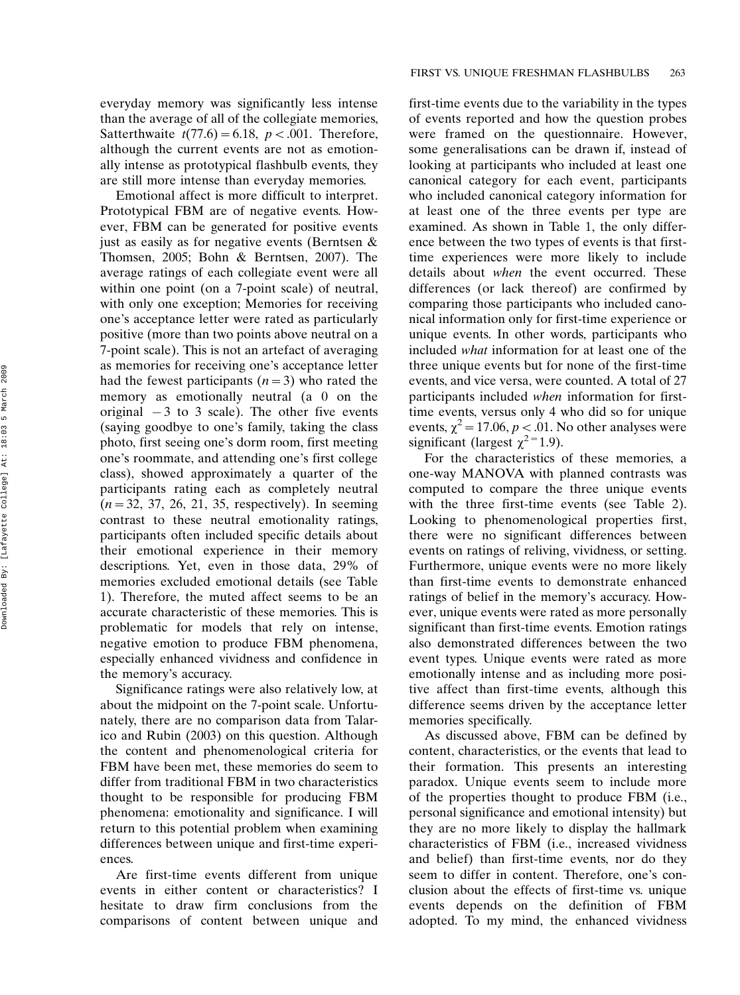everyday memory was significantly less intense than the average of all of the collegiate memories, Satterthwaite  $t(77.6) = 6.18$ ,  $p < .001$ . Therefore, although the current events are not as emotionally intense as prototypical flashbulb events, they are still more intense than everyday memories.

Emotional affect is more difficult to interpret. Prototypical FBM are of negative events. However, FBM can be generated for positive events just as easily as for negative events (Berntsen & Thomsen, 2005; Bohn & Berntsen, 2007). The average ratings of each collegiate event were all within one point (on a 7-point scale) of neutral, with only one exception; Memories for receiving one's acceptance letter were rated as particularly positive (more than two points above neutral on a 7-point scale). This is not an artefact of averaging as memories for receiving one's acceptance letter had the fewest participants  $(n=3)$  who rated the memory as emotionally neutral (a 0 on the original  $-3$  to 3 scale). The other five events (saying goodbye to one's family, taking the class photo, first seeing one's dorm room, first meeting one's roommate, and attending one's first college class), showed approximately a quarter of the participants rating each as completely neutral  $(n=32, 37, 26, 21, 35,$  respectively). In seeming contrast to these neutral emotionality ratings, participants often included specific details about their emotional experience in their memory descriptions. Yet, even in those data, 29% of memories excluded emotional details (see Table 1). Therefore, the muted affect seems to be an accurate characteristic of these memories. This is problematic for models that rely on intense, negative emotion to produce FBM phenomena, especially enhanced vividness and confidence in the memory's accuracy.

Significance ratings were also relatively low, at about the midpoint on the 7-point scale. Unfortunately, there are no comparison data from Talarico and Rubin (2003) on this question. Although the content and phenomenological criteria for FBM have been met, these memories do seem to differ from traditional FBM in two characteristics thought to be responsible for producing FBM phenomena: emotionality and significance. I will return to this potential problem when examining differences between unique and first-time experiences.

Are first-time events different from unique events in either content or characteristics? I hesitate to draw firm conclusions from the comparisons of content between unique and

first-time events due to the variability in the types of events reported and how the question probes were framed on the questionnaire. However, some generalisations can be drawn if, instead of looking at participants who included at least one canonical category for each event, participants who included canonical category information for at least one of the three events per type are examined. As shown in Table 1, the only difference between the two types of events is that firsttime experiences were more likely to include details about when the event occurred. These differences (or lack thereof) are confirmed by comparing those participants who included canonical information only for first-time experience or unique events. In other words, participants who included what information for at least one of the three unique events but for none of the first-time events, and vice versa, were counted. A total of 27 participants included when information for firsttime events, versus only 4 who did so for unique events,  $\chi^2$  = 17.06, *p* < .01. No other analyses were significant (largest  $\chi^{2}=1.9$ ).

For the characteristics of these memories, a one-way MANOVA with planned contrasts was computed to compare the three unique events with the three first-time events (see Table 2). Looking to phenomenological properties first, there were no significant differences between events on ratings of reliving, vividness, or setting. Furthermore, unique events were no more likely than first-time events to demonstrate enhanced ratings of belief in the memory's accuracy. However, unique events were rated as more personally significant than first-time events. Emotion ratings also demonstrated differences between the two event types. Unique events were rated as more emotionally intense and as including more positive affect than first-time events, although this difference seems driven by the acceptance letter memories specifically.

As discussed above, FBM can be defined by content, characteristics, or the events that lead to their formation. This presents an interesting paradox. Unique events seem to include more of the properties thought to produce FBM (i.e., personal significance and emotional intensity) but they are no more likely to display the hallmark characteristics of FBM (i.e., increased vividness and belief) than first-time events, nor do they seem to differ in content. Therefore, one's conclusion about the effects of first-time vs. unique events depends on the definition of FBM adopted. To my mind, the enhanced vividness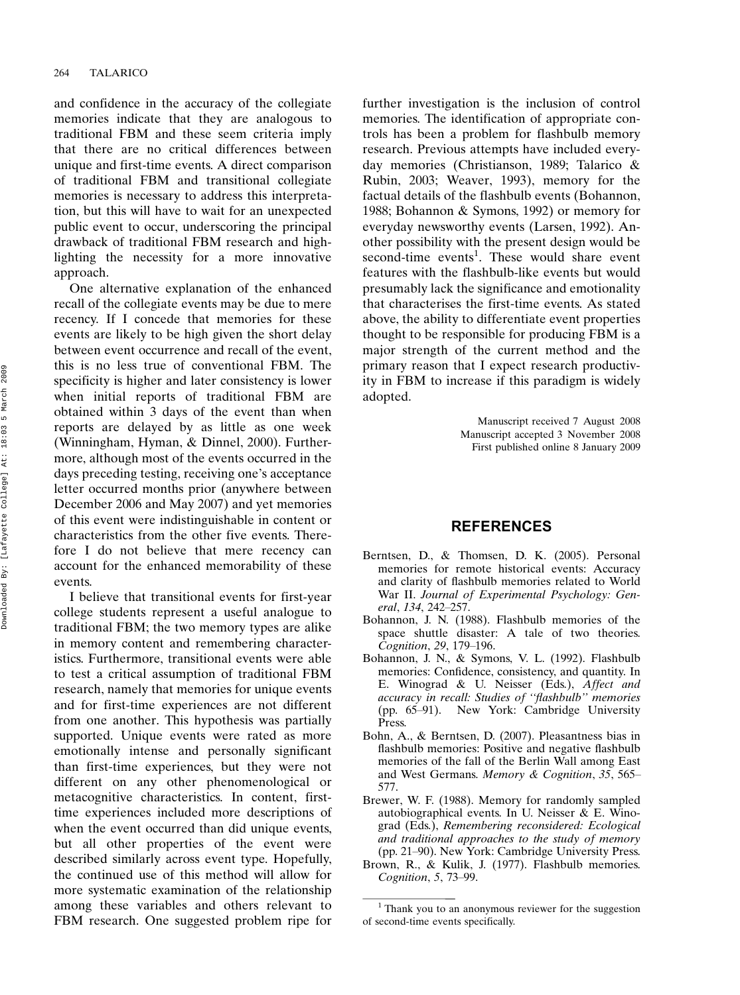and confidence in the accuracy of the collegiate memories indicate that they are analogous to traditional FBM and these seem criteria imply that there are no critical differences between unique and first-time events. A direct comparison of traditional FBM and transitional collegiate memories is necessary to address this interpretation, but this will have to wait for an unexpected public event to occur, underscoring the principal drawback of traditional FBM research and highlighting the necessity for a more innovative approach.

One alternative explanation of the enhanced recall of the collegiate events may be due to mere recency. If I concede that memories for these events are likely to be high given the short delay between event occurrence and recall of the event, this is no less true of conventional FBM. The specificity is higher and later consistency is lower when initial reports of traditional FBM are obtained within 3 days of the event than when reports are delayed by as little as one week (Winningham, Hyman, & Dinnel, 2000). Furthermore, although most of the events occurred in the days preceding testing, receiving one's acceptance letter occurred months prior (anywhere between December 2006 and May 2007) and yet memories of this event were indistinguishable in content or characteristics from the other five events. Therefore I do not believe that mere recency can account for the enhanced memorability of these events.

I believe that transitional events for first-year college students represent a useful analogue to traditional FBM; the two memory types are alike in memory content and remembering characteristics. Furthermore, transitional events were able to test a critical assumption of traditional FBM research, namely that memories for unique events and for first-time experiences are not different from one another. This hypothesis was partially supported. Unique events were rated as more emotionally intense and personally significant than first-time experiences, but they were not different on any other phenomenological or metacognitive characteristics. In content, firsttime experiences included more descriptions of when the event occurred than did unique events, but all other properties of the event were described similarly across event type. Hopefully, the continued use of this method will allow for more systematic examination of the relationship among these variables and others relevant to FBM research. One suggested problem ripe for

further investigation is the inclusion of control memories. The identification of appropriate controls has been a problem for flashbulb memory research. Previous attempts have included everyday memories (Christianson, 1989; Talarico & Rubin, 2003; Weaver, 1993), memory for the factual details of the flashbulb events (Bohannon, 1988; Bohannon & Symons, 1992) or memory for everyday newsworthy events (Larsen, 1992). Another possibility with the present design would be second-time events<sup>1</sup>. These would share event features with the flashbulb-like events but would presumably lack the significance and emotionality that characterises the first-time events. As stated above, the ability to differentiate event properties thought to be responsible for producing FBM is a major strength of the current method and the primary reason that I expect research productivity in FBM to increase if this paradigm is widely adopted.

> Manuscript received 7 August 2008 Manuscript accepted 3 November 2008 First published online 8 January 2009

## REFERENCES

- Berntsen, D., & Thomsen, D. K. (2005). Personal memories for remote historical events: Accuracy and clarity of flashbulb memories related to World War II. Journal of Experimental Psychology: General, 134, 242-257.
- Bohannon, J. N. (1988). Flashbulb memories of the space shuttle disaster: A tale of two theories. Cognition, 29, 179-196.
- Bohannon, J. N., & Symons, V. L. (1992). Flashbulb memories: Confidence, consistency, and quantity. In E. Winograd & U. Neisser (Eds.), Affect and accuracy in recall: Studies of ''flashbulb'' memories (pp. 65-91). New York: Cambridge University Press.
- Bohn, A., & Berntsen, D. (2007). Pleasantness bias in flashbulb memories: Positive and negative flashbulb memories of the fall of the Berlin Wall among East and West Germans. Memory & Cognition, 35, 565- 577.
- Brewer, W. F. (1988). Memory for randomly sampled autobiographical events. In U. Neisser & E. Winograd (Eds.), Remembering reconsidered: Ecological and traditional approaches to the study of memory (pp. 21-90). New York: Cambridge University Press.
- Brown, R., & Kulik, J. (1977). Flashbulb memories. Cognition, 5, 73-99.

 $1$  Thank you to an anonymous reviewer for the suggestion of second-time events specifically.